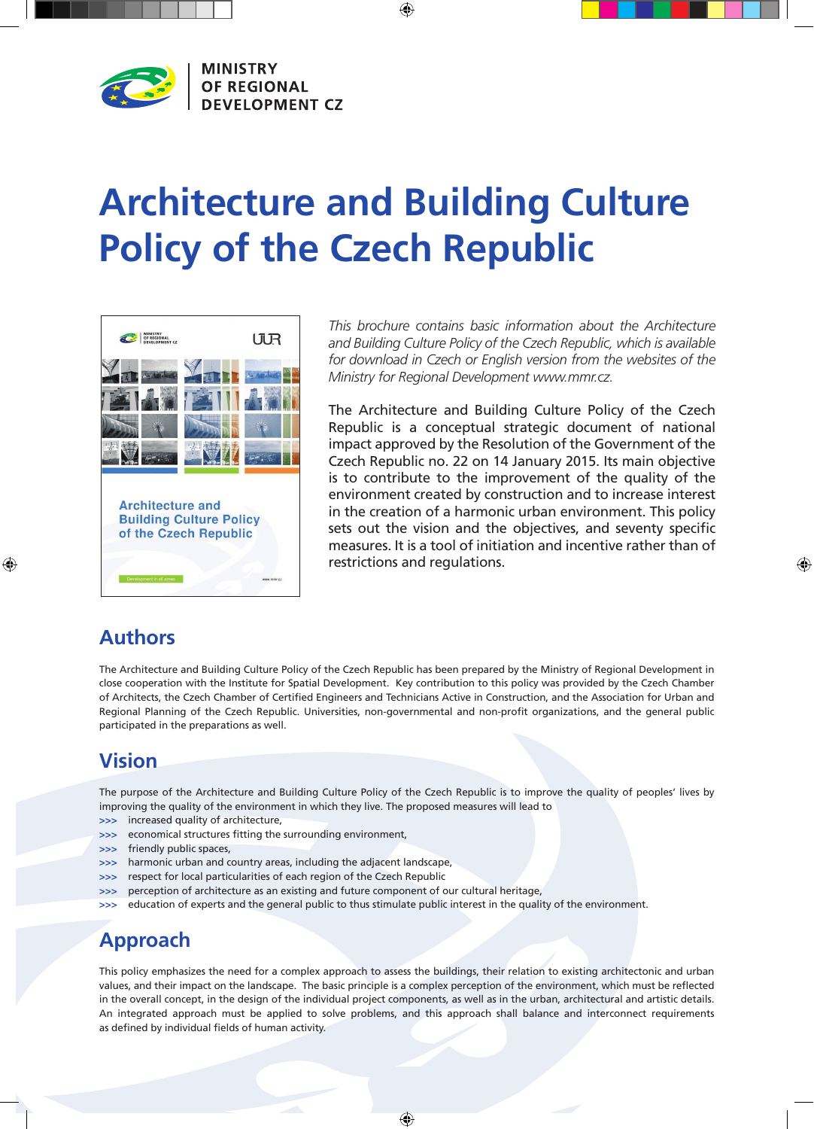

**MINISTRY OF REGIONAL DEVELOPMENT CZ** 

# **Architecture and Building Culture Policy of the Czech Republic**



*This brochure contains basic information about the Architecture and Building Culture Policy of the Czech Republic, which is available for download in Czech or English version from the websites of the Ministry for Regional Development www.mmr.cz.*

The Architecture and Building Culture Policy of the Czech Republic is a conceptual strategic document of national impact approved by the Resolution of the Government of the Czech Republic no. 22 on 14 January 2015. Its main objective is to contribute to the improvement of the quality of the environment created by construction and to increase interest in the creation of a harmonic urban environment. This policy sets out the vision and the objectives, and seventy specific measures. It is a tool of initiation and incentive rather than of restrictions and regulations.

⊕

# **Authors**

⊕

The Architecture and Building Culture Policy of the Czech Republic has been prepared by the Ministry of Regional Development in close cooperation with the Institute for Spatial Development. Key contribution to this policy was provided by the Czech Chamber of Architects, the Czech Chamber of Certified Engineers and Technicians Active in Construction, and the Association for Urban and Regional Planning of the Czech Republic. Universities, non-governmental and non-profit organizations, and the general public participated in the preparations as well.

# **Vision**

The purpose of the Architecture and Building Culture Policy of the Czech Republic is to improve the quality of peoples' lives by improving the quality of the environment in which they live. The proposed measures will lead to

- **>>>** increased quality of architecture,
- economical structures fitting the surrounding environment,
- **>>>** friendly public spaces,
- **>>>** harmonic urban and country areas, including the adjacent landscape,
- **>>>** respect for local particularities of each region of the Czech Republic
- **>>>** perception of architecture as an existing and future component of our cultural heritage,
- **>>>** education of experts and the general public to thus stimulate public interest in the quality of the environment.

# **Approach**

This policy emphasizes the need for a complex approach to assess the buildings, their relation to existing architectonic and urban values, and their impact on the landscape. The basic principle is a complex perception of the environment, which must be reflected in the overall concept, in the design of the individual project components, as well as in the urban, architectural and artistic details. An integrated approach must be applied to solve problems, and this approach shall balance and interconnect requirements as defined by individual fields of human activity.

 $\bigoplus$ 

⊕